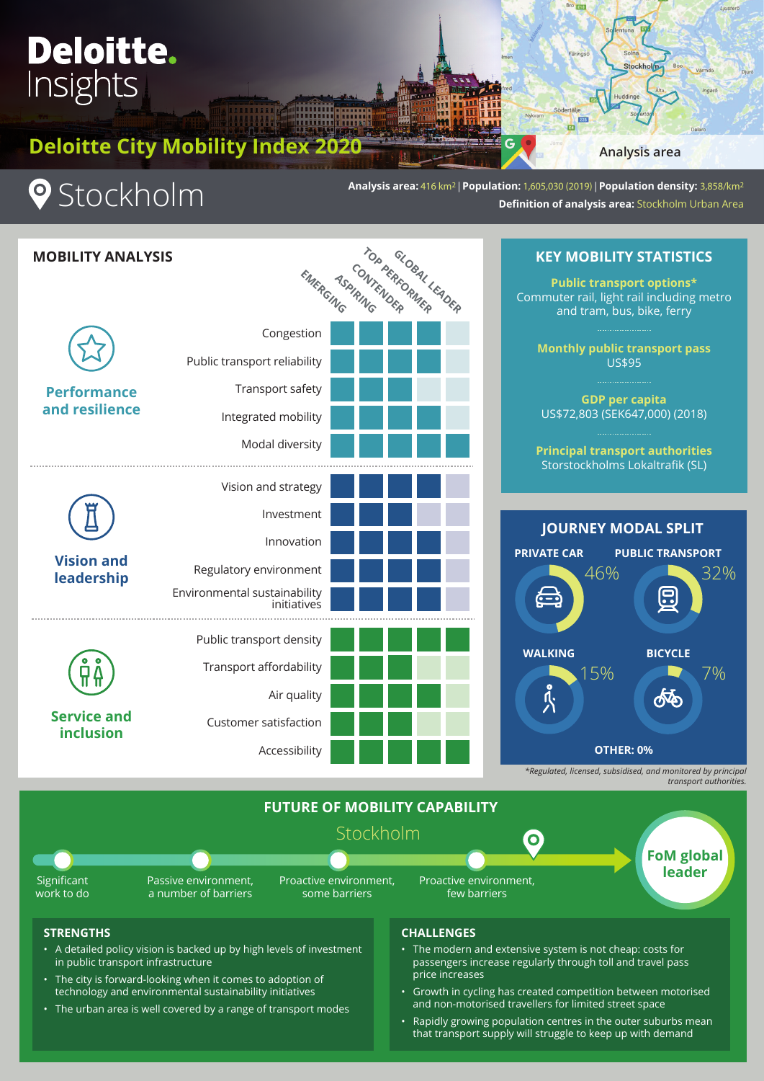# **Deloitte.**<br>Insights

**Deloitte City Mobility Index 2020 Analysis area** 

## **9** Stockholm

**Analysis area:** 416 km2 | **Population:** 1,605,030 (2019) | **Population density:** 3,858/km2 **Definition of analysis area:** Stockholm Urban Area

225  $\mathbf{a}$ 

| <b>MOBILITY ANALYSIS</b>               |                                             | EMERGING TOP PERFORMER DER |
|----------------------------------------|---------------------------------------------|----------------------------|
|                                        |                                             |                            |
| <b>Performance</b><br>and resilience   | Congestion                                  |                            |
|                                        | Public transport reliability                |                            |
|                                        | Transport safety                            |                            |
|                                        | Integrated mobility                         |                            |
|                                        | Modal diversity                             |                            |
| <b>Vision and</b><br>leadership        | Vision and strategy                         |                            |
|                                        | Investment                                  |                            |
|                                        | Innovation                                  |                            |
|                                        | Regulatory environment                      |                            |
|                                        | Environmental sustainability<br>initiatives |                            |
| <b>Service and</b><br><b>inclusion</b> | Public transport density                    |                            |
|                                        | Transport affordability                     |                            |
|                                        | Air quality                                 |                            |
|                                        | Customer satisfaction                       |                            |
|                                        | Accessibility                               |                            |

**KEY MOBILITY STATISTICS**

**Stockholm** 

**Public transport options\*** Commuter rail, light rail including metro and tram, bus, bike, ferry

> **Monthly public transport pass**  US\$95

**GDP per capita** US\$72,803 (SEK647,000) (2018)

**Principal transport authorities** Storstockholms Lokaltrafik (SL)



*\*Regulated, licensed, subsidised, and monitored by principal transport authorities.*



## **STRENGTHS**

- A detailed policy vision is backed up by high levels of investment in public transport infrastructure
- The city is forward-looking when it comes to adoption of technology and environmental sustainability initiatives
- The urban area is well covered by a range of transport modes

## **CHALLENGES**

- The modern and extensive system is not cheap: costs for passengers increase regularly through toll and travel pass price increases
- Growth in cycling has created competition between motorised and non-motorised travellers for limited street space
- Rapidly growing population centres in the outer suburbs mean that transport supply will struggle to keep up with demand